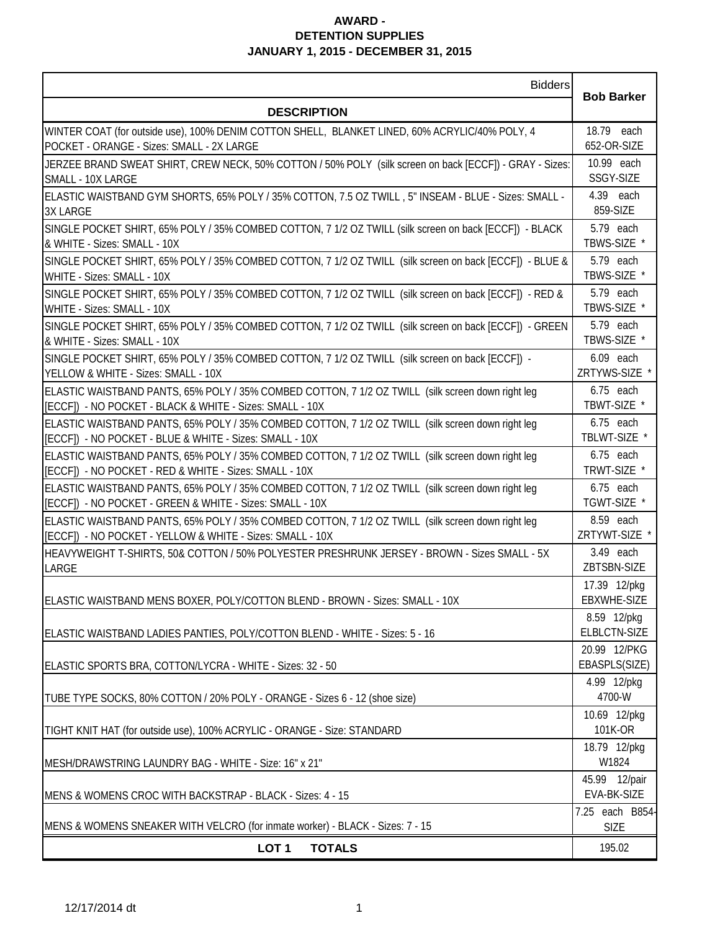## **AWARD - DETENTION SUPPLIES JANUARY 1, 2015 - DECEMBER 31, 2015**

| <b>Bidders</b>                                                                                                                                                |                                |
|---------------------------------------------------------------------------------------------------------------------------------------------------------------|--------------------------------|
| <b>DESCRIPTION</b>                                                                                                                                            | <b>Bob Barker</b>              |
| WINTER COAT (for outside use), 100% DENIM COTTON SHELL, BLANKET LINED, 60% ACRYLIC/40% POLY, 4                                                                | 18.79 each                     |
| POCKET - ORANGE - Sizes: SMALL - 2X LARGE                                                                                                                     | 652-OR-SIZE                    |
| JERZEE BRAND SWEAT SHIRT, CREW NECK, 50% COTTON / 50% POLY (silk screen on back [ECCF]) - GRAY - Sizes:<br>SMALL - 10X LARGE                                  | 10.99 each<br>SSGY-SIZE        |
| ELASTIC WAISTBAND GYM SHORTS, 65% POLY / 35% COTTON, 7.5 OZ TWILL, 5" INSEAM - BLUE - Sizes: SMALL -                                                          | 4.39 each                      |
| <b>3X LARGE</b>                                                                                                                                               | 859-SIZE                       |
| SINGLE POCKET SHIRT, 65% POLY / 35% COMBED COTTON, 7 1/2 OZ TWILL (silk screen on back [ECCF]) - BLACK                                                        | 5.79 each                      |
| & WHITE - Sizes: SMALL - 10X<br>SINGLE POCKET SHIRT, 65% POLY / 35% COMBED COTTON, 7 1/2 OZ TWILL (silk screen on back [ECCF]) - BLUE &                       | TBWS-SIZE *<br>5.79 each       |
| WHITE - Sizes: SMALL - 10X                                                                                                                                    | TBWS-SIZE *                    |
| SINGLE POCKET SHIRT, 65% POLY / 35% COMBED COTTON, 7 1/2 OZ TWILL (silk screen on back [ECCF]) - RED &                                                        | 5.79 each                      |
| WHITE - Sizes: SMALL - 10X                                                                                                                                    | TBWS-SIZE *                    |
| SINGLE POCKET SHIRT, 65% POLY / 35% COMBED COTTON, 7 1/2 OZ TWILL (silk screen on back [ECCF]) - GREEN                                                        | 5.79 each<br>TBWS-SIZE *       |
| & WHITE - Sizes: SMALL - 10X<br>SINGLE POCKET SHIRT, 65% POLY / 35% COMBED COTTON, 7 1/2 OZ TWILL (silk screen on back [ECCF]) -                              | 6.09 each                      |
| YELLOW & WHITE - Sizes: SMALL - 10X                                                                                                                           | ZRTYWS-SIZE <sup>*</sup>       |
| ELASTIC WAISTBAND PANTS, 65% POLY / 35% COMBED COTTON, 7 1/2 OZ TWILL (silk screen down right leg                                                             | $6.75$ each                    |
| [ECCF]) - NO POCKET - BLACK & WHITE - Sizes: SMALL - 10X                                                                                                      | TBWT-SIZE *                    |
| ELASTIC WAISTBAND PANTS, 65% POLY / 35% COMBED COTTON, 7 1/2 OZ TWILL (silk screen down right leg<br>[ECCF]) - NO POCKET - BLUE & WHITE - Sizes: SMALL - 10X  | $6.75$ each<br>TBLWT-SIZE *    |
| ELASTIC WAISTBAND PANTS, 65% POLY / 35% COMBED COTTON, 7 1/2 OZ TWILL (silk screen down right leg                                                             | $6.75$ each                    |
| [ECCF]) - NO POCKET - RED & WHITE - Sizes: SMALL - 10X                                                                                                        | TRWT-SIZE *                    |
| ELASTIC WAISTBAND PANTS, 65% POLY / 35% COMBED COTTON, 7 1/2 OZ TWILL (silk screen down right leg<br>[ECCF]) - NO POCKET - GREEN & WHITE - Sizes: SMALL - 10X | $6.75$ each<br>TGWT-SIZE *     |
| ELASTIC WAISTBAND PANTS, 65% POLY / 35% COMBED COTTON, 7 1/2 OZ TWILL (silk screen down right leg                                                             | 8.59 each                      |
| [ECCF]) - NO POCKET - YELLOW & WHITE - Sizes: SMALL - 10X                                                                                                     | ZRTYWT-SIZE *                  |
| HEAVYWEIGHT T-SHIRTS, 50& COTTON / 50% POLYESTER PRESHRUNK JERSEY - BROWN - Sizes SMALL - 5X                                                                  | 3.49 each                      |
| LARGE                                                                                                                                                         | ZBTSBN-SIZE<br>17.39 12/pkg    |
| ELASTIC WAISTBAND MENS BOXER, POLY/COTTON BLEND - BROWN - Sizes: SMALL - 10X                                                                                  | EBXWHE-SIZE                    |
|                                                                                                                                                               | 8.59 12/pkg                    |
| ELASTIC WAISTBAND LADIES PANTIES, POLY/COTTON BLEND - WHITE - Sizes: 5 - 16                                                                                   | ELBLCTN-SIZE                   |
| ELASTIC SPORTS BRA, COTTON/LYCRA - WHITE - Sizes: 32 - 50                                                                                                     | 20.99 12/PKG<br>EBASPLS(SIZE)  |
|                                                                                                                                                               | 4.99 12/pkg                    |
| TUBE TYPE SOCKS, 80% COTTON / 20% POLY - ORANGE - Sizes 6 - 12 (shoe size)                                                                                    | 4700-W                         |
|                                                                                                                                                               | 10.69 12/pkg                   |
| TIGHT KNIT HAT (for outside use), 100% ACRYLIC - ORANGE - Size: STANDARD                                                                                      | 101K-OR                        |
| MESH/DRAWSTRING LAUNDRY BAG - WHITE - Size: 16" x 21"                                                                                                         | 18.79 12/pkg<br>W1824          |
|                                                                                                                                                               | 45.99 12/pair                  |
| MENS & WOMENS CROC WITH BACKSTRAP - BLACK - Sizes: 4 - 15                                                                                                     | EVA-BK-SIZE                    |
| MENS & WOMENS SNEAKER WITH VELCRO (for inmate worker) - BLACK - Sizes: 7 - 15                                                                                 | 7.25 each B854-<br><b>SIZE</b> |
| LOT <sub>1</sub><br><b>TOTALS</b>                                                                                                                             | 195.02                         |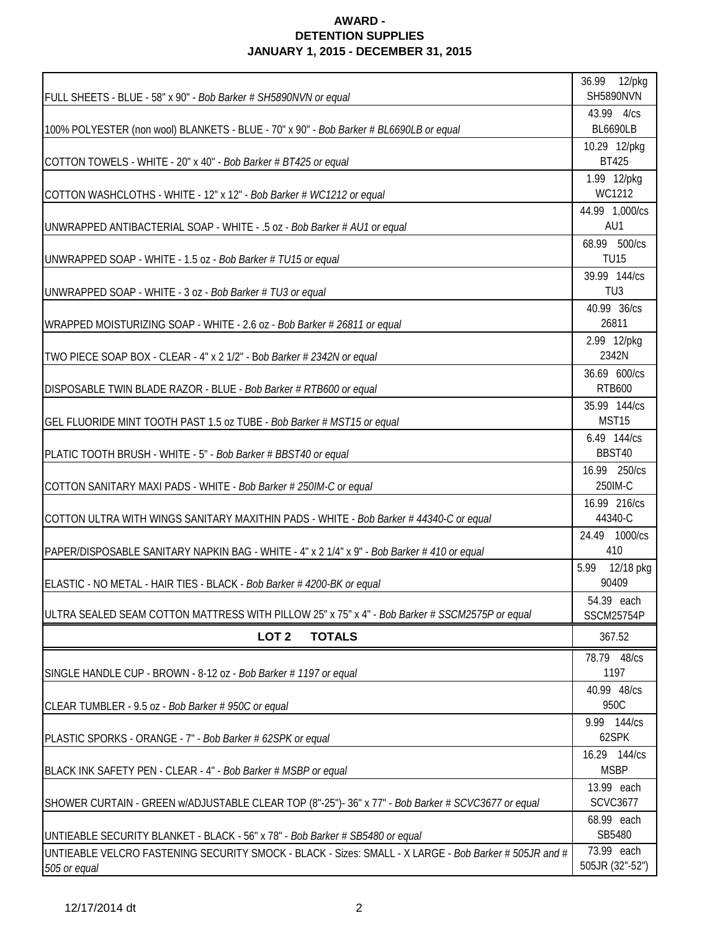## **AWARD - DETENTION SUPPLIES JANUARY 1, 2015 - DECEMBER 31, 2015**

|                                                                                                       | 36.99 12/pkg                    |
|-------------------------------------------------------------------------------------------------------|---------------------------------|
| FULL SHEETS - BLUE - 58" x 90" - Bob Barker # SH5890NVN or equal                                      | <b>SH5890NVN</b>                |
|                                                                                                       | 43.99 4/cs                      |
| 100% POLYESTER (non wool) BLANKETS - BLUE - 70" x 90" - Bob Barker # BL6690LB or equal                | <b>BL6690LB</b>                 |
|                                                                                                       | 10.29 12/pkg                    |
| COTTON TOWELS - WHITE - 20" x 40" - Bob Barker # BT425 or equal                                       | <b>BT425</b>                    |
|                                                                                                       | 1.99 12/pkg<br>WC1212           |
| COTTON WASHCLOTHS - WHITE - 12" x 12" - Bob Barker # WC1212 or equal                                  | 44.99 1,000/cs                  |
| UNWRAPPED ANTIBACTERIAL SOAP - WHITE - .5 oz - Bob Barker # AU1 or equal                              | AU1                             |
|                                                                                                       | 68.99 500/cs                    |
| UNWRAPPED SOAP - WHITE - 1.5 oz - Bob Barker # TU15 or equal                                          | <b>TU15</b>                     |
|                                                                                                       | 39.99 144/cs                    |
| UNWRAPPED SOAP - WHITE - 3 oz - Bob Barker # TU3 or equal                                             | TU <sub>3</sub>                 |
|                                                                                                       | 40.99 36/cs                     |
| WRAPPED MOISTURIZING SOAP - WHITE - 2.6 oz - Bob Barker # 26811 or equal                              | 26811                           |
|                                                                                                       | 2.99 12/pkg                     |
| TWO PIECE SOAP BOX - CLEAR - 4" x 2 1/2" - Bob Barker # 2342N or equal                                | 2342N                           |
|                                                                                                       | 36.69 600/cs                    |
| DISPOSABLE TWIN BLADE RAZOR - BLUE - Bob Barker # RTB600 or equal                                     | <b>RTB600</b>                   |
|                                                                                                       | 35.99 144/cs                    |
| GEL FLUORIDE MINT TOOTH PAST 1.5 oz TUBE - Bob Barker # MST15 or equal                                | MST15                           |
|                                                                                                       | 6.49 144/cs                     |
| PLATIC TOOTH BRUSH - WHITE - 5" - Bob Barker # BBST40 or equal                                        | BBST40                          |
|                                                                                                       | 16.99 250/cs                    |
| COTTON SANITARY MAXI PADS - WHITE - Bob Barker # 250IM-C or equal                                     | 250IM-C                         |
|                                                                                                       | 16.99 216/cs                    |
| COTTON ULTRA WITH WINGS SANITARY MAXITHIN PADS - WHITE - Bob Barker #44340-C or equal                 | 44340-C                         |
|                                                                                                       | 24.49 1000/cs                   |
| PAPER/DISPOSABLE SANITARY NAPKIN BAG - WHITE - 4" x 2 1/4" x 9" - Bob Barker # 410 or equal           | 410                             |
|                                                                                                       | 5.99 12/18 pkg<br>90409         |
| ELASTIC - NO METAL - HAIR TIES - BLACK - Bob Barker # 4200-BK or equal                                |                                 |
| ULTRA SEALED SEAM COTTON MATTRESS WITH PILLOW 25" x 75" x 4" - Bob Barker # SSCM2575P or equal        | 54.39 each<br><b>SSCM25754P</b> |
|                                                                                                       |                                 |
| LOT <sub>2</sub><br><b>TOTALS</b>                                                                     | 367.52                          |
|                                                                                                       | 78.79 48/cs                     |
| SINGLE HANDLE CUP - BROWN - 8-12 oz - Bob Barker # 1197 or equal                                      | 1197                            |
|                                                                                                       | 40.99 48/cs                     |
| CLEAR TUMBLER - 9.5 oz - Bob Barker # 950C or equal                                                   | 950C                            |
| PLASTIC SPORKS - ORANGE - 7" - Bob Barker # 62SPK or equal                                            | 9.99 144/cs<br>62SPK            |
|                                                                                                       | 16.29 144/cs                    |
| BLACK INK SAFETY PEN - CLEAR - 4" - Bob Barker # MSBP or equal                                        | <b>MSBP</b>                     |
|                                                                                                       | 13.99 each                      |
| SHOWER CURTAIN - GREEN w/ADJUSTABLE CLEAR TOP (8"-25")-36" x 77" - Bob Barker # SCVC3677 or equal     | <b>SCVC3677</b>                 |
|                                                                                                       | 68.99 each                      |
| UNTIEABLE SECURITY BLANKET - BLACK - 56" x 78" - Bob Barker # SB5480 or equal                         | SB5480                          |
| UNTIEABLE VELCRO FASTENING SECURITY SMOCK - BLACK - Sizes: SMALL - X LARGE - Bob Barker # 505JR and # | 73.99 each                      |
| 505 or equal                                                                                          | 505JR (32"-52")                 |